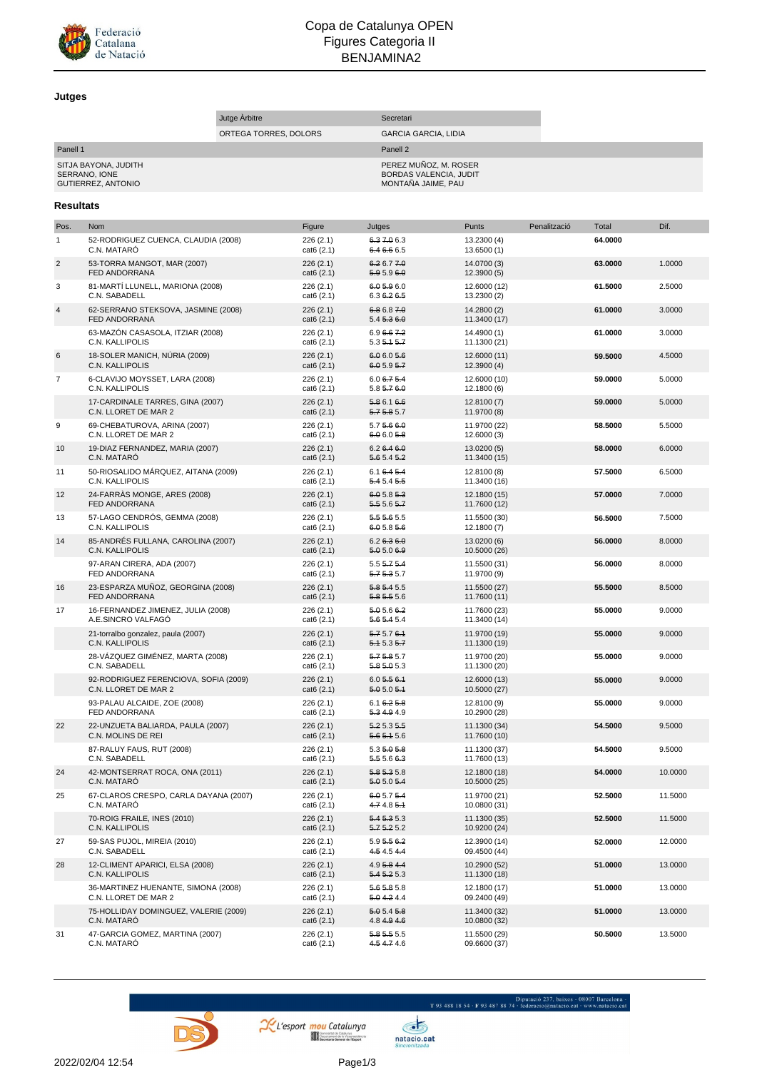

## Copa de Catalunya OPEN Figures Categoria II BENJAMINA2

## **Jutges**

|                                                                         |                                                               | Jutge Arbitre |                        | Secretari                      |                                                                                              |              |         |         |
|-------------------------------------------------------------------------|---------------------------------------------------------------|---------------|------------------------|--------------------------------|----------------------------------------------------------------------------------------------|--------------|---------|---------|
|                                                                         | ORTEGA TORRES, DOLORS                                         |               |                        | <b>GARCIA GARCIA, LIDIA</b>    |                                                                                              |              |         |         |
| Panell 1<br>SITJA BAYONA, JUDITH<br>SERRANO, IONE<br>GUTIERREZ, ANTONIO |                                                               |               |                        |                                | Panell <sub>2</sub><br>PEREZ MUÑOZ, M. ROSER<br>BORDAS VALENCIA, JUDIT<br>MONTAÑA JAIME, PAU |              |         |         |
| Resultats                                                               |                                                               |               |                        |                                |                                                                                              |              |         |         |
| Pos.                                                                    | <b>Nom</b>                                                    |               | Figure                 | Jutges                         | <b>Punts</b>                                                                                 | Penalització | Total   | Dif.    |
| $\mathbf{1}$                                                            | 52-RODRIGUEZ CUENCA, CLAUDIA (2008)<br>C.N. MATARÓ            |               | 226(2.1)<br>cat6 (2.1) | 6.37.06.3<br>6.4 6.6 6.5       | 13.2300 (4)<br>13.6500 (1)                                                                   |              | 64.0000 |         |
| $\sqrt{2}$                                                              | 53-TORRA MANGOT, MAR (2007)<br>FED ANDORRANA                  |               | 226(2.1)<br>cat6 (2.1) | 6.26.77<br>5.9 5.9 6.0         | 14.0700 (3)<br>12.3900(5)                                                                    |              | 63.0000 | 1.0000  |
| 3                                                                       | 81-MARTÍ LLUNELL, MARIONA (2008)<br>C.N. SABADELL             |               | 226(2.1)<br>cat6 (2.1) | 6.0 5.9 6.0<br>6.3 6.2 6.5     | 12.6000 (12)<br>13.2300 (2)                                                                  |              | 61.5000 | 2.5000  |
| $\overline{4}$                                                          | 62-SERRANO STEKSOVA, JASMINE (2008)<br>FED ANDORRANA          |               | 226(2.1)<br>cat6(2.1)  | 6.86.87.0<br>5.45.36.0         | 14.2800 (2)<br>11.3400 (17)                                                                  |              | 61.0000 | 3.0000  |
|                                                                         | 63-MAZÓN CASASOLA, ITZIAR (2008)<br>C.N. KALLIPOLIS           |               | 226(2.1)<br>cat6(2.1)  | 6.9 6.6 7.2<br>5.35.45.7       | 14.4900 (1)<br>11.1300 (21)                                                                  |              | 61.0000 | 3.0000  |
| 6                                                                       | 18-SOLER MANICH, NÚRIA (2009)<br>C.N. KALLIPOLIS              |               | 226(2.1)<br>cat6 (2.1) | 6.06.05.6<br>6.05.957          | 12.6000 (11)<br>12.3900(4)                                                                   |              | 59.5000 | 4.5000  |
| 7                                                                       | 6-CLAVIJO MOYSSET, LARA (2008)<br>C.N. KALLIPOLIS             |               | 226(2.1)<br>cat6(2.1)  | $6.06 - 75.4$<br>$5.85 - 76.0$ | 12.6000 (10)<br>12.1800 (6)                                                                  |              | 59.0000 | 5.0000  |
|                                                                         | 17-CARDINALE TARRES, GINA (2007)<br>C.N. LLORET DE MAR 2      |               | 226(2.1)<br>cat6 (2.1) | 5.8 6.1 6.6<br>5.75.85.7       | 12.8100 (7)<br>11.9700 (8)                                                                   |              | 59.0000 | 5.0000  |
| 9                                                                       | 69-CHEBATUROVA, ARINA (2007)<br>C.N. LLORET DE MAR 2          |               | 226(2.1)<br>cat6 (2.1) | 5.75.660<br>6.0 6.0 5.8        | 11.9700 (22)<br>12.6000 (3)                                                                  |              | 58.5000 | 5.5000  |
| 10                                                                      | 19-DIAZ FERNANDEZ, MARIA (2007)<br>C.N. MATARO                |               | 226(2.1)<br>cat6 (2.1) | 6.2646.0<br>5.6 5.4 5.2        | 13.0200 (5)<br>11.3400 (15)                                                                  |              | 58.0000 | 6.0000  |
| 11                                                                      | 50-RIOSALIDO MÁRQUEZ, AITANA (2009)<br>C.N. KALLIPOLIS        |               | 226(2.1)<br>cat6(2.1)  | 6.16.45.4<br>5.4 5.4 5.5       | 12.8100 (8)<br>11.3400 (16)                                                                  |              | 57.5000 | 6.5000  |
| 12                                                                      | 24-FARRÀS MONGE, ARES (2008)<br>FED ANDORRANA                 |               | 226(2.1)<br>cat6 (2.1) | 6.05.85.3<br>5.5 5.6 5.7       | 12.1800 (15)<br>11.7600 (12)                                                                 |              | 57.0000 | 7.0000  |
| 13                                                                      | 57-LAGO CENDRÓS, GEMMA (2008)<br>C.N. KALLIPOLIS              |               | 226(2.1)<br>cat6(2.1)  | 5.5 5.6 5.5<br>6.05.85.6       | 11.5500 (30)<br>12.1800 (7)                                                                  |              | 56.5000 | 7.5000  |
| 14                                                                      | 85-ANDRÉS FULLANA, CAROLINA (2007)<br>C.N. KALLIPOLIS         |               | 226(2.1)<br>cat6 (2.1) | 6.2636.0<br>5.0 5.0 6.9        | 13.0200 (6)<br>10.5000 (26)                                                                  |              | 56.0000 | 8.0000  |
|                                                                         | 97-ARAN CIRERA, ADA (2007)<br>FED ANDORRANA                   |               | 226(2.1)<br>cat6 (2.1) | $5.55 - 75.4$<br>5.75.35.7     | 11.5500 (31)<br>11.9700 (9)                                                                  |              | 56.0000 | 8.0000  |
| 16                                                                      | 23-ESPARZA MUÑOZ, GEORGINA (2008)<br>FED ANDORRANA            |               | 226(2.1)<br>cat6 (2.1) | 5.8 5.4 5.5<br>5.8 5.5 5.6     | 11.5500 (27)<br>11.7600 (11)                                                                 |              | 55.5000 | 8.5000  |
| 17                                                                      | 16-FERNANDEZ JIMENEZ, JULIA (2008)<br>A.E.SINCRO VALFAGÓ      |               | 226(2.1)<br>cat6 (2.1) | 5.05.66.2<br>5.6 5.4 5.4       | 11.7600 (23)<br>11.3400 (14)                                                                 |              | 55.0000 | 9.0000  |
|                                                                         | 21-torralbo gonzalez, paula (2007)<br>C.N. KALLIPOLIS         |               | 226(2.1)<br>cat6 (2.1) | 5.75.76.1<br>5.15.35.7         | 11.9700 (19)<br>11.1300 (19)                                                                 |              | 55.0000 | 9.0000  |
|                                                                         | 28-VÁZQUEZ GIMÉNEZ, MARTA (2008)<br>C.N. SABADELL             |               | 226(2.1)<br>cat6 (2.1) | 5.75.85.7<br>5.8 5.0 5.3       | 11.9700 (20)<br>11.1300 (20)                                                                 |              | 55.0000 | 9.0000  |
|                                                                         | 92-RODRIGUEZ FERENCIOVA, SOFIA (2009)<br>C.N. LLORET DE MAR 2 |               | 226(2.1)<br>cat6(2.1)  | 6.05.56.4<br>5.05.05.4         | 12.6000 (13)<br>10.5000 (27)                                                                 |              | 55.0000 | 9.0000  |
|                                                                         | 93-PALAU ALCAIDE, ZOE (2008)<br>FED ANDORRANA                 |               | 226(2.1)<br>cat6(2.1)  | 6.16.25.8<br>5.3 4.9 4.9       | 12.8100 (9)<br>10.2900 (28)                                                                  |              | 55.0000 | 9.0000  |
| 22                                                                      | 22-UNZUETA BALIARDA, PAULA (2007)<br>C.N. MOLINS DE REI       |               | 226(2.1)<br>cat6(2.1)  | 5.2 5.3 5.5<br>5.65.45.6       | 11.1300 (34)<br>11.7600 (10)                                                                 |              | 54.5000 | 9.5000  |
|                                                                         | 87-RALUY FAUS, RUT (2008)<br>C.N. SABADELL                    |               | 226(2.1)<br>cat6(2.1)  | 5.3 5.0 5.8<br>5.5 5.6 6.3     | 11.1300 (37)<br>11.7600 (13)                                                                 |              | 54.5000 | 9.5000  |
| 24                                                                      | 42-MONTSERRAT ROCA, ONA (2011)<br>C.N. MATARÓ                 |               | 226(2.1)<br>cat6(2.1)  | 5.8 5.3 5.8<br>5.05.05.4       | 12.1800 (18)<br>10.5000 (25)                                                                 |              | 54.0000 | 10.0000 |
| 25                                                                      | 67-CLAROS CRESPO, CARLA DAYANA (2007)<br>C.N. MATARÓ          |               | 226(2.1)<br>cat6(2.1)  | 6.05.75.4<br>4.74.85.1         | 11.9700 (21)<br>10.0800 (31)                                                                 |              | 52.5000 | 11.5000 |
|                                                                         | 70-ROIG FRAILE, INES (2010)<br>C.N. KALLIPOLIS                |               | 226(2.1)<br>cat6(2.1)  | 5.4 5.3 5.3<br>5.75.25.2       | 11.1300 (35)<br>10.9200 (24)                                                                 |              | 52.5000 | 11.5000 |
| 27                                                                      | 59-SAS PUJOL, MIREIA (2010)<br>C.N. SABADELL                  |               | 226(2.1)<br>cat6(2.1)  | 5.9 5.5 6.2<br>4.5 4.5 4.4     | 12.3900 (14)<br>09.4500 (44)                                                                 |              | 52.0000 | 12.0000 |
| 28                                                                      | 12-CLIMENT APARICI, ELSA (2008)<br>C.N. KALLIPOLIS            |               | 226(2.1)<br>cat6(2.1)  | 4.9 5.8 4.4<br>5.45.25.3       | 10.2900 (52)<br>11.1300 (18)                                                                 |              | 51.0000 | 13.0000 |
|                                                                         | 36-MARTINEZ HUENANTE, SIMONA (2008)<br>C.N. LLORET DE MAR 2   |               | 226(2.1)<br>cat6(2.1)  | 5.6 5.8 5.8<br>5.04.24.4       | 12.1800 (17)<br>09.2400 (49)                                                                 |              | 51.0000 | 13.0000 |
|                                                                         | 75-HOLLIDAY DOMINGUEZ, VALERIE (2009)<br>C.N. MATARÓ          |               | 226(2.1)<br>cat6(2.1)  | 5.05.45.8<br>4.8 4.9 4.6       | 11.3400 (32)<br>10.0800 (32)                                                                 |              | 51.0000 | 13.0000 |
| 31                                                                      | 47-GARCIA GOMEZ, MARTINA (2007)<br>C.N. MATARÓ                |               | 226(2.1)<br>cat6 (2.1) | 5.8 5.5 5.5<br>4.5 4.7 4.6     | 11.5500 (29)<br>09.6600 (37)                                                                 |              | 50.5000 | 13.5000 |



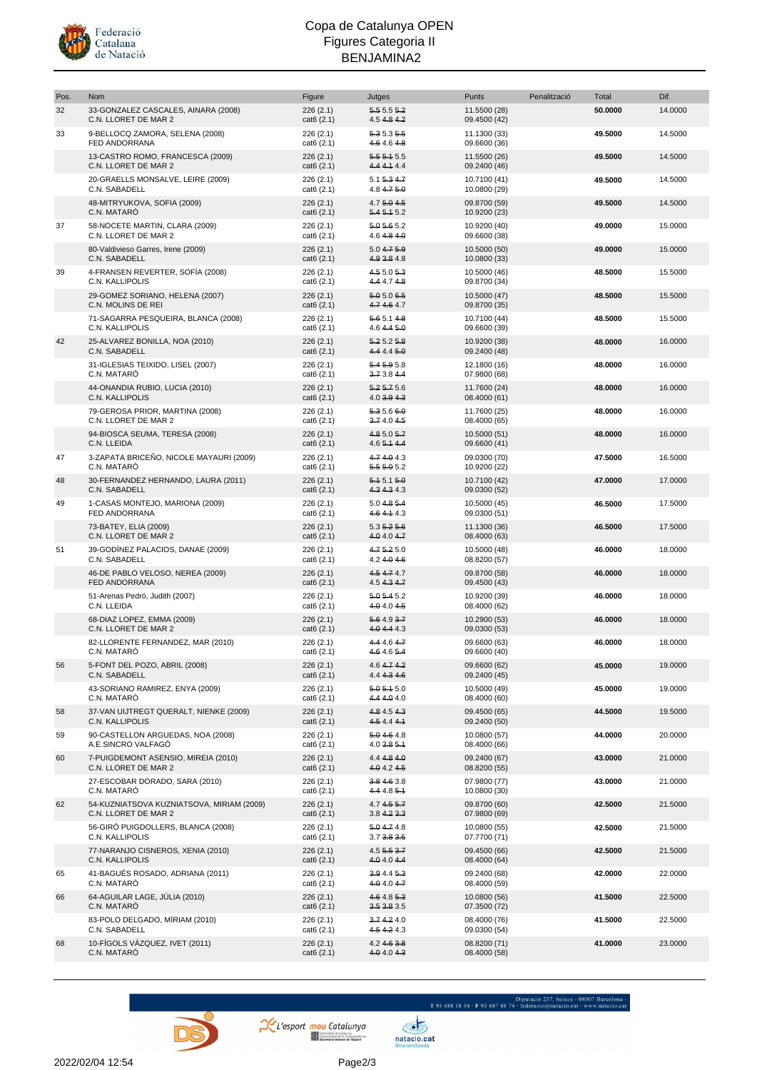

## Copa de Catalunya OPEN Figures Categoria II BENJAMINA2

| Pos. | Nom                                                               | Figure                  | Jutges                          | Punts                        | Penalització | Total   | Dif.    |
|------|-------------------------------------------------------------------|-------------------------|---------------------------------|------------------------------|--------------|---------|---------|
| 32   | 33-GONZALEZ CASCALES, AINARA (2008)<br>C.N. LLORET DE MAR 2       | 226(2.1)<br>cat6 (2.1)  | 5.555.2<br>$4.54 + .84.2$       | 11.5500 (28)<br>09.4500 (42) |              | 50.0000 | 14.0000 |
| 33   | 9-BELLOCQ ZAMORA, SELENA (2008)<br>FED ANDORRANA                  | 226 (2.1)<br>cat6 (2.1) | 5.3 5.3 5.5<br>4.64.64.8        | 11.1300 (33)<br>09.6600 (36) |              | 49.5000 | 14.5000 |
|      | 13-CASTRO ROMO, FRANCESCA (2009)<br>C.N. LLORET DE MAR 2          | 226(2.1)<br>cat6 (2.1)  | 5.55.45.5<br>4.4 4.4 4.4        | 11.5500 (26)<br>09.2400 (46) |              | 49.5000 | 14.5000 |
|      | 20-GRAELLS MONSALVE, LEIRE (2009)<br>C.N. SABADELL                | 226 (2.1)<br>cat6 (2.1) | 5.15.34.7<br>4.8 4.7 5.0        | 10.7100 (41)<br>10.0800 (29) |              | 49.5000 | 14.5000 |
|      | 48-MITRYUKOVA, SOFIA (2009)<br>C.N. MATARÓ                        | 226(2.1)<br>cat6(2.1)   | $4.75 + 0.45$<br>5.45.15.2      | 09.8700 (59)<br>10.9200 (23) |              | 49.5000 | 14.5000 |
| 37   | 58-NOCETE MARTIN, CLARA (2009)<br>C.N. LLORET DE MAR 2            | 226 (2.1)<br>cat6 (2.1) | 5.0 5.6 5.2<br>4.6 4.8 4.0      | 10.9200 (40)<br>09.6600 (38) |              | 49.0000 | 15.0000 |
|      | 80-Valdivieso Garres, Irene (2009)<br>C.N. SABADELL               | 226(2.1)<br>cat6 (2.1)  | 5.04.75.9<br>4.9 3.8 4.8        | 10.5000 (50)<br>10.0800 (33) |              | 49.0000 | 15.0000 |
| 39   | 4-FRANSEN REVERTER, SOFÍA (2008)<br>C.N. KALLIPOLIS               | 226(2.1)<br>cat6 (2.1)  | 4.55.05.3<br>4.4 4.7 4.8        | 10.5000 (46)<br>09.8700 (34) |              | 48.5000 | 15.5000 |
|      | 29-GOMEZ SORIANO, HELENA (2007)<br>C.N. MOLINS DE REI             | 226(2.1)<br>cat6 (2.1)  | 5.05.06.5<br>4.7 4.6 4.7        | 10.5000 (47)<br>09.8700 (35) |              | 48.5000 | 15.5000 |
|      | 71-SAGARRA PESQUEIRA, BLANCA (2008)<br>C.N. KALLIPOLIS            | 226 (2.1)<br>cat6 (2.1) | 5.65.14.8<br>4.6445.0           | 10.7100 (44)<br>09.6600 (39) |              | 48.5000 | 15.5000 |
| 42   | 25-ALVAREZ BONILLA, NOA (2010)<br>C.N. SABADELL                   | 226(2.1)<br>cat6(2.1)   | 5.25.25.8<br>4.44.45.0          | 10.9200 (38)<br>09.2400 (48) |              | 48.0000 | 16.0000 |
|      | 31-IGLESIAS TEIXIDO, LISEL (2007)<br>C.N. MATARÓ                  | 226 (2.1)<br>cat6 (2.1) | 5.45.95.8<br>3.73.84.4          | 12.1800 (16)<br>07.9800 (68) |              | 48.0000 | 16.0000 |
|      | 44-ONANDIA RUBIO, LUCIA (2010)<br>C.N. KALLIPOLIS                 | 226(2.1)<br>cat6 (2.1)  | $5.25 - 5.6$<br>$4.0$ 3.9 $4.3$ | 11.7600 (24)<br>08.4000 (61) |              | 48.0000 | 16.0000 |
|      | 79-GEROSA PRIOR, MARTINA (2008)<br>C.N. LLORET DE MAR 2           | 226 (2.1)<br>cat6 (2.1) | 5.35.66.0<br>3.74.04.5          | 11.7600 (25)<br>08.4000 (65) |              | 48.0000 | 16.0000 |
|      | 94-BIOSCA SEUMA, TERESA (2008)<br>C.N. LLEIDA                     | 226 (2.1)<br>cat6 (2.1) | 4.8 5.0 5.7<br>4.6 5.1 4.4      | 10.5000 (51)<br>09.6600 (41) |              | 48.0000 | 16.0000 |
| 47   | 3-ZAPATA BRICEÑO, NICOLE MAYAURI (2009)<br>C.N. MATARÓ            | 226 (2.1)<br>cat6 (2.1) | 4.74.04.3<br>5.5 5.0 5.2        | 09.0300 (70)<br>10.9200 (22) |              | 47.5000 | 16.5000 |
| 48   | 30-FERNANDEZ HERNANDO, LAURA (2011)<br>C.N. SABADELL              | 226(2.1)<br>cat6 (2.1)  | 5.45.15.0<br>4.34.34.3          | 10.7100 (42)<br>09.0300 (52) |              | 47.0000 | 17.0000 |
| 49   | 1-CASAS MONTEJO, MARIONA (2009)<br>FED ANDORRANA                  | 226 (2.1)<br>cat6 (2.1) | 5.0 4.8 5.4<br>4.64.44.3        | 10.5000 (45)<br>09.0300 (51) |              | 46.5000 | 17.5000 |
|      | 73-BATEY, ELIA (2009)<br>C.N. LLORET DE MAR 2                     | 226(2.1)<br>cat6 (2.1)  | $5.35 - 25.6$<br>4.04.04.7      | 11.1300 (36)<br>08.4000 (63) |              | 46.5000 | 17.5000 |
| 51   | 39-GODÍNEZ PALACIOS, DANAE (2009)<br>C.N. SABADELL                | 226 (2.1)<br>cat6 (2.1) | 4.75.25.0<br>$4.24 + 04 + 6$    | 10.5000 (48)<br>08.8200 (57) |              | 46.0000 | 18.0000 |
|      | 46-DE PABLO VELOSO, NEREA (2009)<br><b>FED ANDORRANA</b>          | 226(2.1)<br>cat6 (2.1)  | 4.54.74.7<br>4.54347            | 09.8700 (58)<br>09.4500 (43) |              | 46.0000 | 18.0000 |
|      | 51-Arenas Pedró, Judith (2007)<br>C.N. LLEIDA                     | 226 (2.1)<br>cat6 (2.1) | 5.05.45.2<br>4.0 4.0 4.5        | 10.9200 (39)<br>08.4000 (62) |              | 46.0000 | 18.0000 |
|      | 68-DIAZ LOPEZ, EMMA (2009)<br>C.N. LLORET DE MAR 2                | 226(2.1)<br>cat6 (2.1)  | 5.64.937<br>4.04.443            | 10.2900 (53)<br>09.0300 (53) |              | 46.0000 | 18,0000 |
|      | 82-LLORENTE FERNANDEZ, MAR (2010)<br>C.N. MATARO                  | 226 (2.1)<br>cat6 (2.1) | 4.4 4.6 4.7<br>4.6 4.6 5.4      | 09.6600 (63)<br>09.6600 (40) |              | 46.0000 | 18.0000 |
| 56   | 5-FONT DEL POZO, ABRIL (2008)<br>C.N. SABADELL                    | 226 (2.1)<br>cat6(2.1)  | 4.64742<br>4.4 4.3 4.6          | 09.6600 (62)<br>09.2400 (45) |              | 45.0000 | 19.0000 |
|      | 43-SORIANO RAMIREZ, ENYA (2009)<br>C.N. MATARÓ                    | 226 (2.1)<br>cat6 (2.1) | 5.05.45.0<br>4.4 4.0 4.0        | 10.5000 (49)<br>08.4000 (60) |              | 45.0000 | 19.0000 |
| 58   | 37-VAN UIJTREGT QUERALT, NIENKE (2009)<br>C.N. KALLIPOLIS         | 226 (2.1)<br>cat6 (2.1) | 4.8 4.5 4.3<br>$4.54.44 +$      | 09.4500 (65)<br>09.2400 (50) |              | 44.5000 | 19.5000 |
| 59   | 90-CASTELLON ARGUEDAS, NOA (2008)<br>A.E.SINCRO VALFAGÓ           | 226 (2.1)<br>cat6 (2.1) | 5.04.64.8<br>$4.0$ $3.8$ $5.4$  | 10.0800 (57)<br>08.4000 (66) |              | 44.0000 | 20.0000 |
| 60   | 7-PUIGDEMONT ASENSIO, MIREIA (2010)<br>C.N. LLORET DE MAR 2       | 226 (2.1)<br>cat6 (2.1) | 4.44.84.0<br>4.04.24.5          | 09.2400 (67)<br>08.8200 (55) |              | 43.0000 | 21.0000 |
|      | 27-ESCOBAR DORADO, SARA (2010)<br>C.N. MATARÓ                     | 226 (2.1)<br>cat6 (2.1) | 3.8 4.6 3.8<br>4.4 4.8 5.1      | 07.9800 (77)<br>10.0800 (30) |              | 43.0000 | 21.0000 |
| 62   | 54-KUZNIATSOVA KUZNIATSOVA, MIRIAM (2009)<br>C.N. LLORET DE MAR 2 | 226(2.1)<br>cat6 (2.1)  | 4.7 4.5 5.7<br>3.84.23.3        | 09.8700 (60)<br>07.9800 (69) |              | 42.5000 | 21.5000 |
|      | 56-GIRÓ PUIGDOLLERS, BLANCA (2008)<br>C.N. KALLIPOLIS             | 226 (2.1)<br>cat6 (2.1) | 5.04.74.8<br>3.73.83.6          | 10.0800 (55)<br>07.7700 (71) |              | 42.5000 | 21.5000 |
|      | 77-NARANJO CISNEROS, XENIA (2010)<br>C.N. KALLIPOLIS              | 226(2.1)<br>cat6(2.1)   | 4.55553.7<br>4.0 4.0 4.4        | 09.4500 (66)<br>08.4000 (64) |              | 42.5000 | 21.5000 |
| 65   | 41-BAGUÉS ROSADO, ADRIANA (2011)<br>C.N. MATARÓ                   | 226 (2.1)<br>cat6 (2.1) | 3.94.45.3<br>4.04.04.7          | 09.2400 (68)<br>08.4000 (59) |              | 42.0000 | 22.0000 |
| 66   | 64-AGUILAR LAGE, JÚLIA (2010)<br>C.N. MATARÓ                      | 226(2.1)<br>cat6 (2.1)  | 4.64.85.3<br>3.53.83.5          | 10.0800 (56)<br>07.3500 (72) |              | 41.5000 | 22.5000 |
|      | 83-POLO DELGADO, MÍRIAM (2010)<br>C.N. SABADELL                   | 226 (2.1)<br>cat6 (2.1) | 3.74.24.0<br>4.5 4.2 4.3        | 08.4000 (76)<br>09.0300 (54) |              | 41.5000 | 22.5000 |
| 68   | 10-FÍGOLS VÁZQUEZ, IVET (2011)<br>C.N. MATARÓ                     | 226(2.1)<br>cat6(2.1)   | $4.24 + 63.8$<br>4.04.04.3      | 08.8200 (71)<br>08.4000 (58) |              | 41.0000 | 23.0000 |





 $\begin{minipage}{.45\textwidth} \begin{minipage}{.45\textwidth} \begin{tabular}{l} \bf{Diputació 237, baixos - 08007 Bareelona \\ \bf{Diputació Gintació Gintació G.} \end{tabular} \end{minipage} \vspace{-.5cm} \end{minipage}$ 

natacio.cat